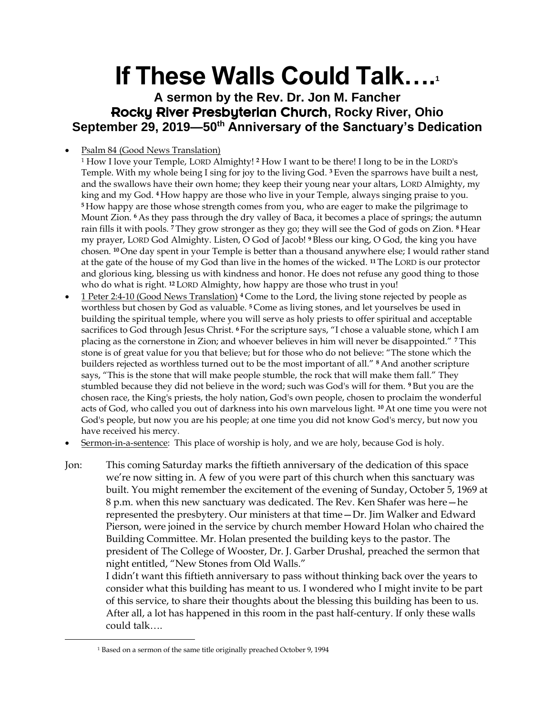## **If These Walls Could Talk….<sup>1</sup>**

**A sermon by the Rev. Dr. Jon M. Fancher** Rocky River Presbyterian Church**, Rocky River, Ohio September 29, 2019—50th Anniversary of the Sanctuary's Dedication**

- Psalm 84 (Good News Translation)
	- <sup>1</sup> How I love your Temple, LORD Almighty! **<sup>2</sup>** How I want to be there! I long to be in the LORD's Temple. With my whole being I sing for joy to the living God. **<sup>3</sup>** Even the sparrows have built a nest, and the swallows have their own home; they keep their young near your altars, LORD Almighty, my king and my God. **<sup>4</sup>** How happy are those who live in your Temple, always singing praise to you. **<sup>5</sup>** How happy are those whose strength comes from you, who are eager to make the pilgrimage to Mount Zion. **<sup>6</sup>** As they pass through the dry valley of Baca, it becomes a place of springs; the autumn rain fills it with pools. **<sup>7</sup>** They grow stronger as they go; they will see the God of gods on Zion. **<sup>8</sup>** Hear my prayer, LORD God Almighty. Listen, O God of Jacob! **<sup>9</sup>** Bless our king, O God, the king you have chosen. **<sup>10</sup>** One day spent in your Temple is better than a thousand anywhere else; I would rather stand at the gate of the house of my God than live in the homes of the wicked. **<sup>11</sup>** The LORD is our protector and glorious king, blessing us with kindness and honor. He does not refuse any good thing to those who do what is right. **<sup>12</sup>** LORD Almighty, how happy are those who trust in you!
- 1 Peter 2:4-10 (Good News Translation) **<sup>4</sup>** Come to the Lord, the living stone rejected by people as worthless but chosen by God as valuable. **<sup>5</sup>** Come as living stones, and let yourselves be used in building the spiritual temple, where you will serve as holy priests to offer spiritual and acceptable sacrifices to God through Jesus Christ. **<sup>6</sup>** For the scripture says, "I chose a valuable stone, which I am placing as the cornerstone in Zion; and whoever believes in him will never be disappointed." **<sup>7</sup>** This stone is of great value for you that believe; but for those who do not believe: "The stone which the builders rejected as worthless turned out to be the most important of all." **<sup>8</sup>** And another scripture says, "This is the stone that will make people stumble, the rock that will make them fall." They stumbled because they did not believe in the word; such was God's will for them. **<sup>9</sup>** But you are the chosen race, the King's priests, the holy nation, God's own people, chosen to proclaim the wonderful acts of God, who called you out of darkness into his own marvelous light. **<sup>10</sup>** At one time you were not God's people, but now you are his people; at one time you did not know God's mercy, but now you have received his mercy.
- Sermon-in-a-sentence: This place of worship is holy, and we are holy, because God is holy.
- Jon: This coming Saturday marks the fiftieth anniversary of the dedication of this space we're now sitting in. A few of you were part of this church when this sanctuary was built. You might remember the excitement of the evening of Sunday, October 5, 1969 at 8 p.m. when this new sanctuary was dedicated. The Rev. Ken Shafer was here—he represented the presbytery. Our ministers at that time—Dr. Jim Walker and Edward Pierson, were joined in the service by church member Howard Holan who chaired the Building Committee. Mr. Holan presented the building keys to the pastor. The president of The College of Wooster, Dr. J. Garber Drushal, preached the sermon that night entitled, "New Stones from Old Walls."

I didn't want this fiftieth anniversary to pass without thinking back over the years to consider what this building has meant to us. I wondered who I might invite to be part of this service, to share their thoughts about the blessing this building has been to us. After all, a lot has happened in this room in the past half-century. If only these walls could talk….

<sup>1</sup> Based on a sermon of the same title originally preached October 9, 1994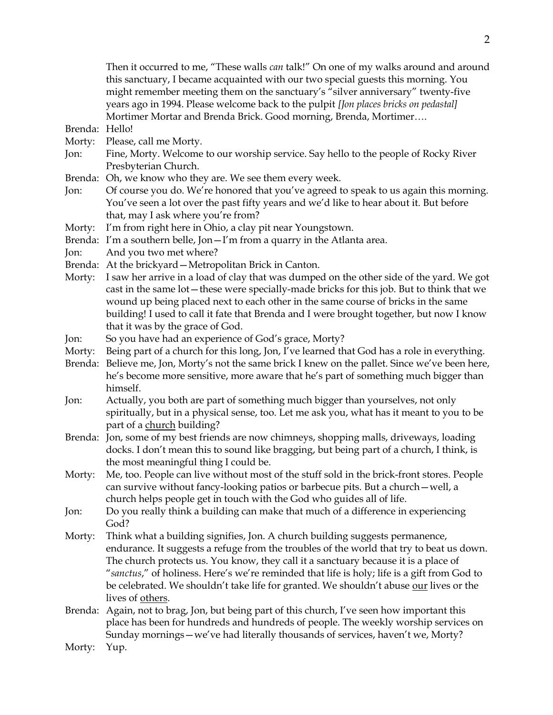Then it occurred to me, "These walls *can* talk!" On one of my walks around and around this sanctuary, I became acquainted with our two special guests this morning. You might remember meeting them on the sanctuary's "silver anniversary" twenty-five years ago in 1994. Please welcome back to the pulpit *[Jon places bricks on pedastal]*  Mortimer Mortar and Brenda Brick. Good morning, Brenda, Mortimer….

Brenda: Hello!

- Morty: Please, call me Morty.
- Jon: Fine, Morty. Welcome to our worship service. Say hello to the people of Rocky River Presbyterian Church.
- Brenda: Oh, we know who they are. We see them every week.
- Jon: Of course you do. We're honored that you've agreed to speak to us again this morning. You've seen a lot over the past fifty years and we'd like to hear about it. But before that, may I ask where you're from?
- Morty: I'm from right here in Ohio, a clay pit near Youngstown.
- Brenda: I'm a southern belle, Jon—I'm from a quarry in the Atlanta area.
- Jon: And you two met where?
- Brenda: At the brickyard—Metropolitan Brick in Canton.
- Morty: I saw her arrive in a load of clay that was dumped on the other side of the yard. We got cast in the same lot—these were specially-made bricks for this job. But to think that we wound up being placed next to each other in the same course of bricks in the same building! I used to call it fate that Brenda and I were brought together, but now I know that it was by the grace of God.
- Jon: So you have had an experience of God's grace, Morty?
- Morty: Being part of a church for this long, Jon, I've learned that God has a role in everything.
- Brenda: Believe me, Jon, Morty's not the same brick I knew on the pallet. Since we've been here, he's become more sensitive, more aware that he's part of something much bigger than himself.
- Jon: Actually, you both are part of something much bigger than yourselves, not only spiritually, but in a physical sense, too. Let me ask you, what has it meant to you to be part of a church building?
- Brenda: Jon, some of my best friends are now chimneys, shopping malls, driveways, loading docks. I don't mean this to sound like bragging, but being part of a church, I think, is the most meaningful thing I could be.
- Morty: Me, too. People can live without most of the stuff sold in the brick-front stores. People can survive without fancy-looking patios or barbecue pits. But a church—well, a church helps people get in touch with the God who guides all of life.
- Jon: Do you really think a building can make that much of a difference in experiencing God?
- Morty: Think what a building signifies, Jon. A church building suggests permanence, endurance. It suggests a refuge from the troubles of the world that try to beat us down. The church protects us. You know, they call it a sanctuary because it is a place of "*sanctus*," of holiness. Here's we're reminded that life is holy; life is a gift from God to be celebrated. We shouldn't take life for granted. We shouldn't abuse our lives or the lives of others.
- Brenda: Again, not to brag, Jon, but being part of this church, I've seen how important this place has been for hundreds and hundreds of people. The weekly worship services on Sunday mornings—we've had literally thousands of services, haven't we, Morty?
- Morty: Yup.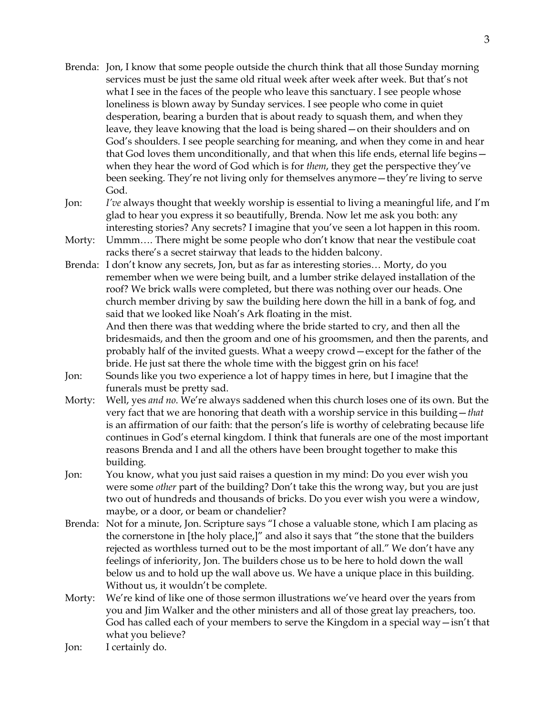- Brenda: Jon, I know that some people outside the church think that all those Sunday morning services must be just the same old ritual week after week after week. But that's not what I see in the faces of the people who leave this sanctuary. I see people whose loneliness is blown away by Sunday services. I see people who come in quiet desperation, bearing a burden that is about ready to squash them, and when they leave, they leave knowing that the load is being shared—on their shoulders and on God's shoulders. I see people searching for meaning, and when they come in and hear that God loves them unconditionally, and that when this life ends, eternal life begins when they hear the word of God which is for *them*, they get the perspective they've been seeking. They're not living only for themselves anymore—they're living to serve God.
- Jon: *I've* always thought that weekly worship is essential to living a meaningful life, and I'm glad to hear you express it so beautifully, Brenda. Now let me ask you both: any interesting stories? Any secrets? I imagine that you've seen a lot happen in this room.
- Morty: Ummm…. There might be some people who don't know that near the vestibule coat racks there's a secret stairway that leads to the hidden balcony.

Brenda: I don't know any secrets, Jon, but as far as interesting stories… Morty, do you remember when we were being built, and a lumber strike delayed installation of the roof? We brick walls were completed, but there was nothing over our heads. One church member driving by saw the building here down the hill in a bank of fog, and said that we looked like Noah's Ark floating in the mist. And then there was that wedding where the bride started to cry, and then all the

bridesmaids, and then the groom and one of his groomsmen, and then the parents, and probably half of the invited guests. What a weepy crowd—except for the father of the bride. He just sat there the whole time with the biggest grin on his face!

- Jon: Sounds like you two experience a lot of happy times in here, but I imagine that the funerals must be pretty sad.
- Morty: Well, yes *and no*. We're always saddened when this church loses one of its own. But the very fact that we are honoring that death with a worship service in this building—*that* is an affirmation of our faith: that the person's life is worthy of celebrating because life continues in God's eternal kingdom. I think that funerals are one of the most important reasons Brenda and I and all the others have been brought together to make this building.
- Jon: You know, what you just said raises a question in my mind: Do you ever wish you were some *other* part of the building? Don't take this the wrong way, but you are just two out of hundreds and thousands of bricks. Do you ever wish you were a window, maybe, or a door, or beam or chandelier?
- Brenda: Not for a minute, Jon. Scripture says "I chose a valuable stone, which I am placing as the cornerstone in [the holy place,]" and also it says that "the stone that the builders rejected as worthless turned out to be the most important of all." We don't have any feelings of inferiority, Jon. The builders chose us to be here to hold down the wall below us and to hold up the wall above us. We have a unique place in this building. Without us, it wouldn't be complete.
- Morty: We're kind of like one of those sermon illustrations we've heard over the years from you and Jim Walker and the other ministers and all of those great lay preachers, too. God has called each of your members to serve the Kingdom in a special way—isn't that what you believe?
- Jon: I certainly do.